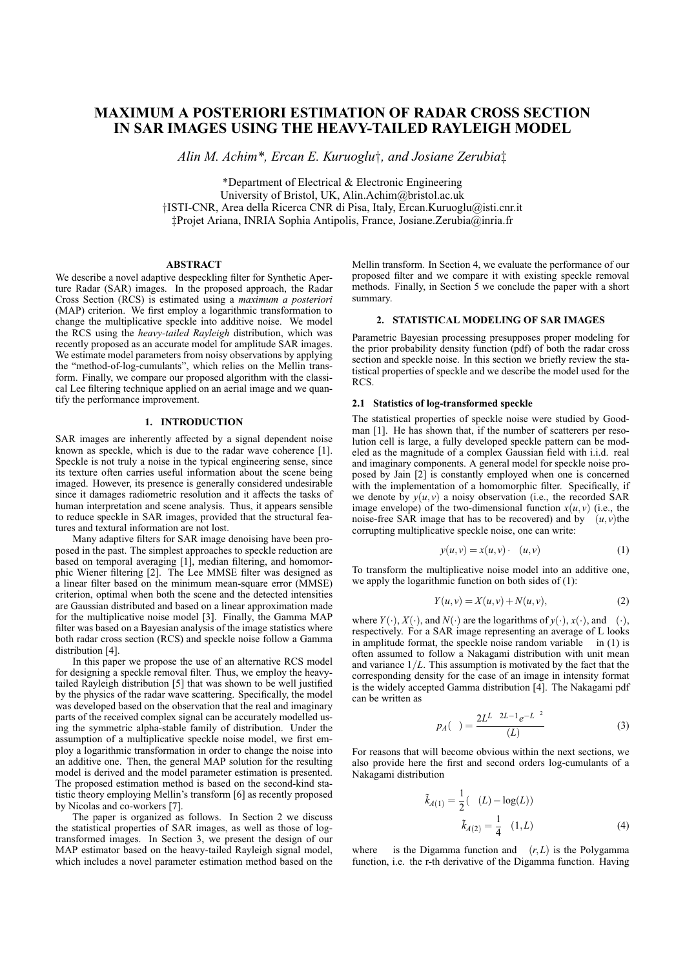# **MAXIMUM A POSTERIORI ESTIMATION OF RADAR CROSS SECTION IN SAR IMAGES USING THE HEAVY-TAILED RAYLEIGH MODEL**

*Alin M. Achim\*, Ercan E. Kuruoglu*†*, and Josiane Zerubia*‡

\*Department of Electrical & Electronic Engineering University of Bristol, UK, Alin.Achim@bristol.ac.uk †ISTI-CNR, Area della Ricerca CNR di Pisa, Italy, Ercan.Kuruoglu@isti.cnr.it ‡Projet Ariana, INRIA Sophia Antipolis, France, Josiane.Zerubia@inria.fr

#### **ABSTRACT**

We describe a novel adaptive despeckling filter for Synthetic Aperture Radar (SAR) images. In the proposed approach, the Radar Cross Section (RCS) is estimated using a *maximum a posteriori* (MAP) criterion. We first employ a logarithmic transformation to change the multiplicative speckle into additive noise. We model the RCS using the *heavy-tailed Rayleigh* distribution, which was recently proposed as an accurate model for amplitude SAR images. We estimate model parameters from noisy observations by applying the "method-of-log-cumulants", which relies on the Mellin transform. Finally, we compare our proposed algorithm with the classical Lee filtering technique applied on an aerial image and we quantify the performance improvement.

#### **1. INTRODUCTION**

SAR images are inherently affected by a signal dependent noise known as speckle, which is due to the radar wave coherence [1]. Speckle is not truly a noise in the typical engineering sense, since its texture often carries useful information about the scene being imaged. However, its presence is generally considered undesirable since it damages radiometric resolution and it affects the tasks of human interpretation and scene analysis. Thus, it appears sensible to reduce speckle in SAR images, provided that the structural features and textural information are not lost.

Many adaptive filters for SAR image denoising have been proposed in the past. The simplest approaches to speckle reduction are based on temporal averaging [1], median filtering, and homomorphic Wiener filtering [2]. The Lee MMSE filter was designed as a linear filter based on the minimum mean-square error (MMSE) criterion, optimal when both the scene and the detected intensities are Gaussian distributed and based on a linear approximation made for the multiplicative noise model [3]. Finally, the Gamma MAP filter was based on a Bayesian analysis of the image statistics where both radar cross section (RCS) and speckle noise follow a Gamma distribution [4].

In this paper we propose the use of an alternative RCS model for designing a speckle removal filter. Thus, we employ the heavytailed Rayleigh distribution [5] that was shown to be well justified by the physics of the radar wave scattering. Specifically, the model was developed based on the observation that the real and imaginary parts of the received complex signal can be accurately modelled using the symmetric alpha-stable family of distribution. Under the assumption of a multiplicative speckle noise model, we first employ a logarithmic transformation in order to change the noise into an additive one. Then, the general MAP solution for the resulting model is derived and the model parameter estimation is presented. The proposed estimation method is based on the second-kind statistic theory employing Mellin's transform [6] as recently proposed by Nicolas and co-workers [7].

The paper is organized as follows. In Section 2 we discuss the statistical properties of SAR images, as well as those of logtransformed images. In Section 3, we present the design of our MAP estimator based on the heavy-tailed Rayleigh signal model, which includes a novel parameter estimation method based on the Mellin transform. In Section 4, we evaluate the performance of our proposed filter and we compare it with existing speckle removal methods. Finally, in Section 5 we conclude the paper with a short summary.

## **2. STATISTICAL MODELING OF SAR IMAGES**

Parametric Bayesian processing presupposes proper modeling for the prior probability density function (pdf) of both the radar cross section and speckle noise. In this section we briefly review the statistical properties of speckle and we describe the model used for the RCS.

## **2.1 Statistics of log-transformed speckle**

The statistical properties of speckle noise were studied by Goodman [1]. He has shown that, if the number of scatterers per resolution cell is large, a fully developed speckle pattern can be modeled as the magnitude of a complex Gaussian field with i.i.d. real and imaginary components. A general model for speckle noise proposed by Jain [2] is constantly employed when one is concerned with the implementation of a homomorphic filter. Specifically, if we denote by  $y(u, v)$  a noisy observation (i.e., the recorded SAR image envelope) of the two-dimensional function  $x(u, v)$  (i.e., the noise-free SAR image that has to be recovered) and by  $(u, v)$ the corrupting multiplicative speckle noise, one can write:

$$
y(u, v) = x(u, v) \qquad (u, v) \tag{1}
$$

To transform the multiplicative noise model into an additive one, we apply the logarithmic function on both sides of (1):

$$
Y(u, v) = X(u, v) + N(u, v),
$$
 (2)

where  $Y(\cdot), X(\cdot)$ , and  $N(\cdot)$  are the logarithms of  $y(\cdot), x(\cdot)$ , and (·), respectively. For a SAR image representing an average of L looks in amplitude format, the speckle noise random variable in (1) is often assumed to follow a Nakagami distribution with unit mean and variance 1/*L*. This assumption is motivated by the fact that the corresponding density for the case of an image in intensity format is the widely accepted Gamma distribution [4]. The Nakagami pdf can be written as

$$
p_A(\ ) = \frac{2L^L \ 2L - 1e^{-L^2}}{(L)} \tag{3}
$$

For reasons that will become obvious within the next sections, we also provide here the first and second orders log-cumulants of a Nakagami distribution

$$
\tilde{k}_{A(1)} = \frac{1}{2} ( (L) - \log(L))
$$
  

$$
\tilde{k}_{A(2)} = \frac{1}{4} (1, L)
$$
 (4)

where is the Digamma function and (*r*,*L*) is the Polygamma function, i.e. the r-th derivative of the Digamma function. Having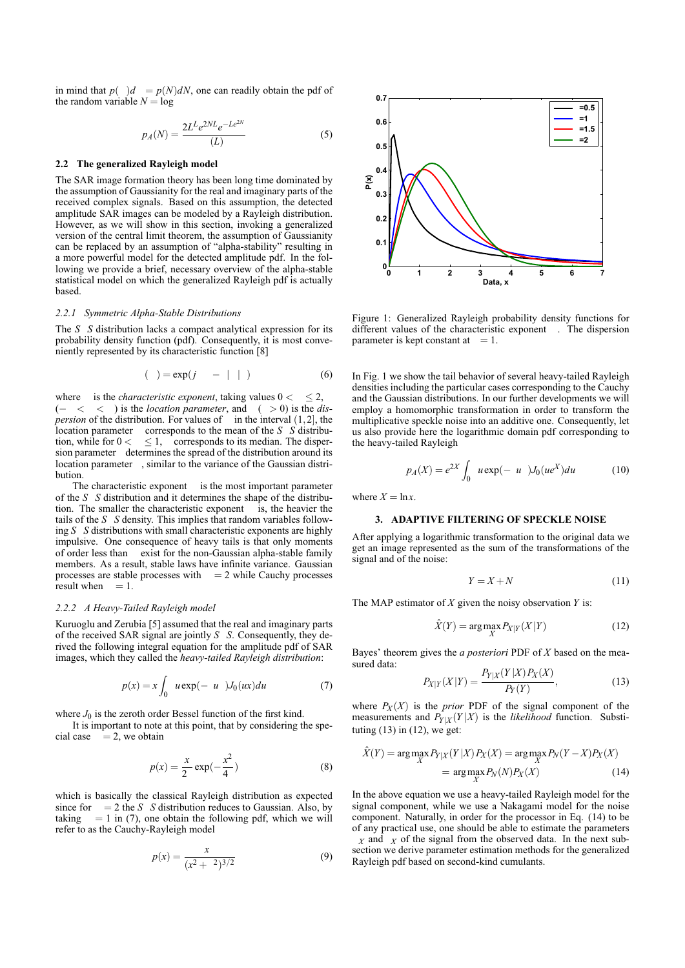in mind that  $p()d = p(N)dN$ , one can readily obtain the pdf of the random variable  $N = \log$ 

$$
p_A(N) = \frac{2L^L e^{2NL} e^{-Le^{2N}}}{(L)}
$$
 (5)

## **2.2 The generalized Rayleigh model**

The SAR image formation theory has been long time dominated by the assumption of Gaussianity for the real and imaginary parts of the received complex signals. Based on this assumption, the detected amplitude SAR images can be modeled by a Rayleigh distribution. However, as we will show in this section, invoking a generalized version of the central limit theorem, the assumption of Gaussianity can be replaced by an assumption of "alpha-stability" resulting in a more powerful model for the detected amplitude pdf. In the following we provide a brief, necessary overview of the alpha-stable statistical model on which the generalized Rayleigh pdf is actually based.

#### *2.2.1 Symmetric Alpha-Stable Distributions*

The *S S* distribution lacks a compact analytical expression for its probability density function (pdf). Consequently, it is most conveniently represented by its characteristic function [8]

$$
(\ ) = \exp(j - | \ | \ ) \tag{6}
$$

where is the *characteristic exponent*, taking values  $0 <$  < 2, (− < < ) is the *location parameter*, and ( > 0) is the *dispersion* of the distribution. For values of  $\int$  in the interval  $(1,2)$ , the location parameter corresponds to the mean of the *S S* distribution, while for  $0 < \leq 1$ , corresponds to its median. The dispersion parameter determines the spread of the distribution around its location parameter , similar to the variance of the Gaussian distribution.

The characteristic exponent is the most important parameter of the *S S* distribution and it determines the shape of the distribution. The smaller the characteristic exponent is, the heavier the tails of the *S S* density. This implies that random variables following *S S* distributions with small characteristic exponents are highly impulsive. One consequence of heavy tails is that only moments of order less than exist for the non-Gaussian alpha-stable family members. As a result, stable laws have infinite variance. Gaussian processes are stable processes with  $= 2$  while Cauchy processes result when  $= 1$ .

## *2.2.2 A Heavy-Tailed Rayleigh model*

Kuruoglu and Zerubia [5] assumed that the real and imaginary parts of the received SAR signal are jointly *S S*. Consequently, they derived the following integral equation for the amplitude pdf of SAR images, which they called the *heavy-tailed Rayleigh distribution*:

$$
p(x) = x \int_0^{\infty} u \exp(-u^2) J_0(ux) du \tag{7}
$$

where  $J_0$  is the zeroth order Bessel function of the first kind.

It is important to note at this point, that by considering the special case  $= 2$ , we obtain

$$
p(x) = \frac{x}{2} \exp(-\frac{x^2}{4})
$$
 (8)

which is basically the classical Rayleigh distribution as expected since for  $= 2$  the *S S* distribution reduces to Gaussian. Also, by taking  $= 1$  in (7), one obtain the following pdf, which we will refer to as the Cauchy-Rayleigh model

$$
p(x) = \frac{x}{(x^2 + 2)^{3/2}}
$$
 (9)



Figure 1: Generalized Rayleigh probability density functions for different values of the characteristic exponent . The dispersion parameter is kept constant at  $= 1$ .

In Fig. 1 we show the tail behavior of several heavy-tailed Rayleigh densities including the particular cases corresponding to the Cauchy and the Gaussian distributions. In our further developments we will employ a homomorphic transformation in order to transform the multiplicative speckle noise into an additive one. Consequently, let us also provide here the logarithmic domain pdf corresponding to the heavy-tailed Rayleigh

$$
p_A(X) = e^{2X} \int_0^{\infty} u \exp(-u^2) J_0(u e^X) du
$$
 (10)

where  $X = \ln x$ .

#### **3. ADAPTIVE FILTERING OF SPECKLE NOISE**

After applying a logarithmic transformation to the original data we get an image represented as the sum of the transformations of the signal and of the noise:

$$
Y = X + N \tag{11}
$$

The MAP estimator of *X* given the noisy observation *Y* is:

$$
\hat{X}(Y) = \arg \max_{X} P_{X|Y}(X|Y) \tag{12}
$$

Bayes' theorem gives the *a posteriori* PDF of *X* based on the measured data: *PY*|*<sup>X</sup>* (*Y* |*X*)*P<sup>X</sup>* (*X*)

$$
P_{X|Y}(X|Y) = \frac{P_{Y|X}(Y|X)P_X(X)}{P_Y(Y)},
$$
\n(13)

where  $P_X(X)$  is the *prior* PDF of the signal component of the measurements and  $P_{Y|X}(Y|X)$  is the *likelihood* function. Substituting  $(13)$  in  $(12)$ , we get:

$$
\hat{X}(Y) = \arg\max_{X} P_{Y|X}(Y|X) P_X(X) = \arg\max_{X} P_N(Y - X) P_X(X)
$$

$$
= \arg\max_{X} P_N(N) P_X(X) \tag{14}
$$

In the above equation we use a heavy-tailed Rayleigh model for the signal component, while we use a Nakagami model for the noise component. Naturally, in order for the processor in Eq. (14) to be of any practical use, one should be able to estimate the parameters  $\chi$  and  $\chi$  of the signal from the observed data. In the next sub-

section we derive parameter estimation methods for the generalized Rayleigh pdf based on second-kind cumulants.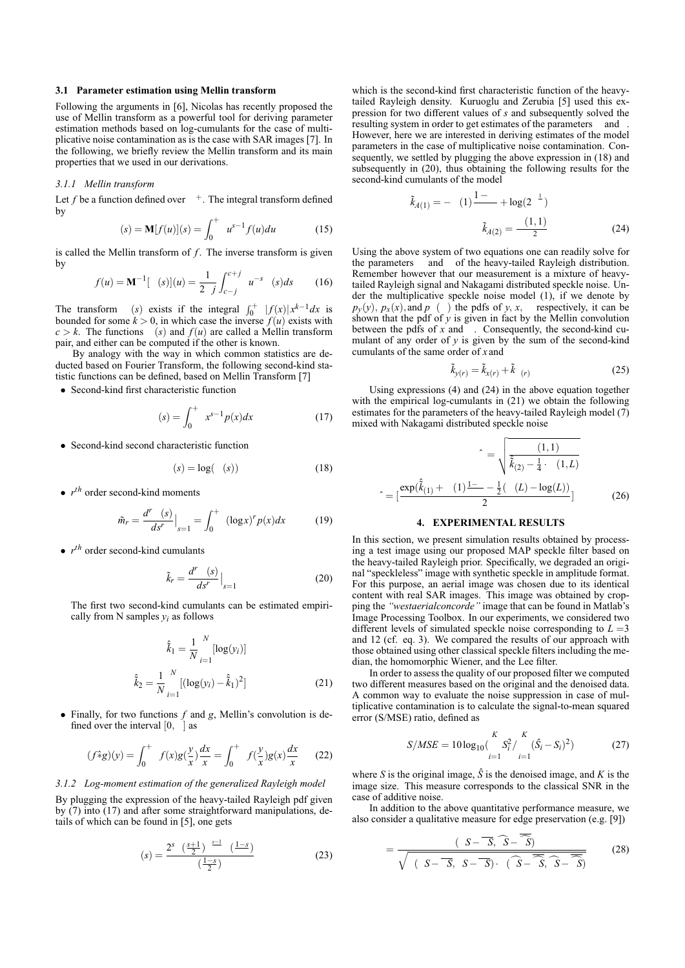#### **3.1 Parameter estimation using Mellin transform**

Following the arguments in [6], Nicolas has recently proposed the use of Mellin transform as a powerful tool for deriving parameter estimation methods based on log-cumulants for the case of multiplicative noise contamination as is the case with SAR images [7]. In the following, we briefly review the Mellin transform and its main properties that we used in our derivations.

## *3.1.1 Mellin transform*

Let  $f$  be a function defined over  $\pm$ . The integral transform defined by

$$
(s) = \mathbf{M}[f(u)](s) = \int_0^+ u^{s-1} f(u) du \tag{15}
$$

is called the Mellin transform of *f*. The inverse transform is given by

$$
f(u) = \mathbf{M}^{-1} [ (s)](u) = \frac{1}{2j} \int_{c-j}^{c+j} u^{-s} (s) ds
$$
 (16)

The transform (*s*) exists if the integral  $\int_0^+ |f(x)|x^{k-1}dx$  is bounded for some  $k > 0$ , in which case the inverse  $f(u)$  exists with  $c > k$ . The functions (*s*) and  $f(u)$  are called a Mellin transform pair, and either can be computed if the other is known.

By analogy with the way in which common statistics are deducted based on Fourier Transform, the following second-kind statistic functions can be defined, based on Mellin Transform [7]

• Second-kind first characteristic function

$$
(s) = \int_0^+ x^{s-1} p(x) dx
$$
 (17)

• Second-kind second characteristic function

$$
(s) = \log(-(s))\tag{18}
$$

•  $r^{th}$  order second-kind moments

$$
\tilde{m}_r = \frac{d^r}{ds^r} \Big|_{s=1} = \int_0^+ \left( (\log x)^r p(x) dx \right) \tag{19}
$$

• *r th* order second-kind cumulants

$$
\tilde{k}_r = \frac{d^r \quad (s)}{ds^r} \Big|_{s=1} \tag{20}
$$

The first two second-kind cumulants can be estimated empirically from N samples  $y_i$  as follows

$$
\hat{\tilde{k}}_1 = \frac{1}{N} \sum_{i=1}^{N} [\log(y_i)]
$$
  

$$
\hat{\tilde{k}}_2 = \frac{1}{N} \sum_{i=1}^{N} [(\log(y_i) - \hat{\tilde{k}}_1)^2]
$$
 (21)

• Finally, for two functions *f* and *g*, Mellin's convolution is defined over the interval  $[0, \cdot]$  as

$$
(f \hat{*} g)(y) = \int_0^+ f(x)g(\frac{y}{x})\frac{dx}{x} = \int_0^+ f(\frac{y}{x})g(x)\frac{dx}{x}
$$
 (22)

## *3.1.2 Log-moment estimation of the generalized Rayleigh model*

By plugging the expression of the heavy-tailed Rayleigh pdf given by (7) into (17) and after some straightforward manipulations, details of which can be found in [5], one gets

$$
(s) = \frac{2^s \left(\frac{s+1}{2}\right)^{\frac{s-1}{2}} \left(\frac{1-s}{2}\right)}{\left(\frac{1-s}{2}\right)}
$$
(23)

which is the second-kind first characteristic function of the heavytailed Rayleigh density. Kuruoglu and Zerubia [5] used this expression for two different values of *s* and subsequently solved the resulting system in order to get estimates of the parameters and However, here we are interested in deriving estimates of the model parameters in the case of multiplicative noise contamination. Consequently, we settled by plugging the above expression in (18) and subsequently in (20), thus obtaining the following results for the second-kind cumulants of the model

$$
\tilde{k}_{A(1)} = - (1) \frac{1 - \lambda}{\tilde{k}_{A(2)}} + \log(2^{-1})
$$
\n
$$
\tilde{k}_{A(2)} = \frac{(1,1)}{2} \tag{24}
$$

Using the above system of two equations one can readily solve for the parameters and of the heavy-tailed Rayleigh distribution. Remember however that our measurement is a mixture of heavytailed Rayleigh signal and Nakagami distributed speckle noise. Under the multiplicative speckle noise model (1), if we denote by  $p_y(y)$ ,  $p_x(x)$ , and  $p$  ( ) the pdfs of *y*, *x*, respectively, it can be shown that the pdf of  $y$  is given in fact by the Mellin convolution between the pdfs of *x* and . Consequently, the second-kind cumulant of any order of *y* is given by the sum of the second-kind cumulants of the same order of *x* and

$$
\tilde{k}_{y(r)} = \tilde{k}_{x(r)} + \tilde{k}_{(r)}
$$
\n(25)

Using expressions (4) and (24) in the above equation together with the empirical log-cumulants in (21) we obtain the following estimates for the parameters of the heavy-tailed Rayleigh model  $(\overline{7})$ mixed with Nakagami distributed speckle noise

$$
\hat{\lambda} = \sqrt{\frac{(1,1)}{\hat{k}(2) - \frac{1}{4} \cdot (1,L)}}
$$

$$
\hat{\lambda} = \left[\frac{\exp(\hat{k}(1) + (1)^{\frac{1}{2}} - \frac{1}{2}(-(L) - \log(L))}{2}\right]
$$
(26)

## **4. EXPERIMENTAL RESULTS**

In this section, we present simulation results obtained by processing a test image using our proposed MAP speckle filter based on the heavy-tailed Rayleigh prior. Specifically, we degraded an original "speckleless" image with synthetic speckle in amplitude format. For this purpose, an aerial image was chosen due to its identical content with real SAR images. This image was obtained by cropping the *"westaerialconcorde"* image that can be found in Matlab's Image Processing Toolbox. In our experiments, we considered two different levels of simulated speckle noise corresponding to  $L = 3$ and 12 (cf. eq. 3). We compared the results of our approach with those obtained using other classical speckle filters including the median, the homomorphic Wiener, and the Lee filter.

In order to assess the quality of our proposed filter we computed two different measures based on the original and the denoised data. A common way to evaluate the noise suppression in case of multiplicative contamination is to calculate the signal-to-mean squared error (S/MSE) ratio, defined as

$$
S/MSE = 10\log_{10}\left(\frac{K}{i-1}\right)_{i=1}^{K} (\hat{S}_i - S_i)^2)
$$
 (27)

where *S* is the original image,  $\hat{S}$  is the denoised image, and *K* is the image size. This measure corresponds to the classical SNR in the case of additive noise.

In addition to the above quantitative performance measure, we also consider a qualitative measure for edge preservation (e.g. [9])

$$
=\frac{(S-\overline{S},\overline{S}-\overline{S})}{\sqrt{(S-\overline{S},S-\overline{S})\cdot(\overline{S}-\overline{S},\overline{S}-\overline{S})}}
$$
(28)